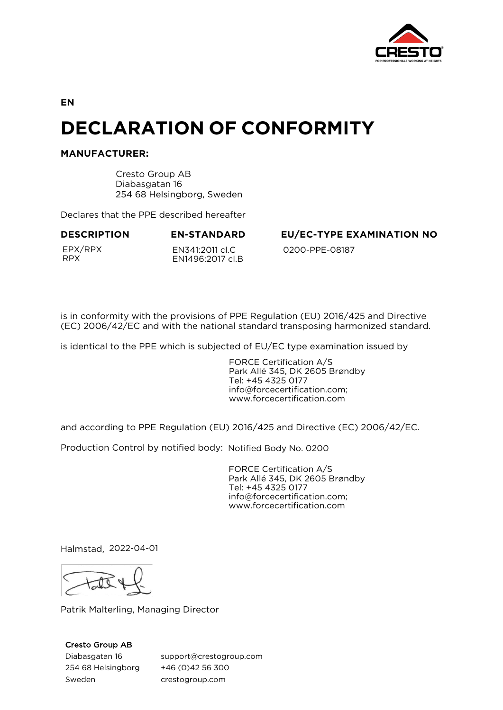

**EN**

# **DECLARATION OF CONFORMITY**

## **MANUFACTURER:**

Cresto Group AB Diabasgatan 16 254 68 Helsingborg, Sweden

Declares that the PPE described hereafter

EPX/RPX RPX

EN341:2011 cl.C EN1496:2017 cl.B

**DESCRIPTION EN-STANDARD EU/EC-TYPE EXAMINATION NO**

0200-PPE-08187

is in conformity with the provisions of PPE Regulation (EU) 2016/425 and Directive (EC) 2006/42/EC and with the national standard transposing harmonized standard.

is identical to the PPE which is subjected of EU/EC type examination issued by

FORCE Certification A/S Park Allé 345, DK 2605 Brøndby Tel: +45 4325 0177 info@forcecertification.com; www.forcecertification.com

and according to PPE Regulation (EU) 2016/425 and Directive (EC) 2006/42/EC.

Production Control by notified body: Notified Body No. 0200

FORCE Certification A/S Park Allé 345, DK 2605 Brøndby Tel: +45 4325 0177 info@forcecertification.com; www.forcecertification.com

Halmstad, 2022-04-01

Patrik Malterling, Managing Director

## Cresto Group AB

Diabasgatan 16 254 68 Helsingborg Sweden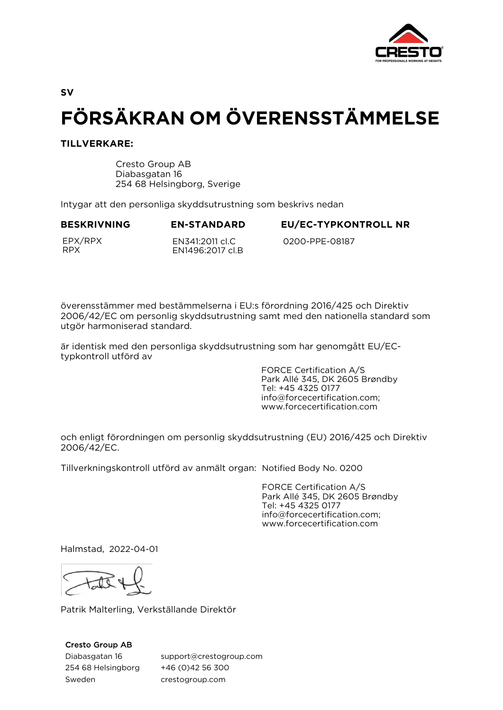

**SV**

# **FÖRSÄKRAN OM ÖVERENSSTÄMMELSE**

## **TILLVERKARE:**

Cresto Group AB Diabasgatan 16 254 68 Helsingborg, Sverige

Intygar att den personliga skyddsutrustning som beskrivs nedan

**BESKRIVNING EN-STANDARD EU/EC-TYPKONTROLL NR**

EPX/RPX RPX

EN341:2011 cl.C EN1496:2017 cl.B

0200-PPE-08187

överensstämmer med bestämmelserna i EU:s förordning 2016/425 och Direktiv 2006/42/EC om personlig skyddsutrustning samt med den nationella standard som utgör harmoniserad standard.

är identisk med den personliga skyddsutrustning som har genomgått EU/ECtypkontroll utförd av

> FORCE Certification A/S Park Allé 345, DK 2605 Brøndby Tel: +45 4325 0177 info@forcecertification.com; www.forcecertification.com

och enligt förordningen om personlig skyddsutrustning (EU) 2016/425 och Direktiv 2006/42/EC.

Tillverkningskontroll utförd av anmält organ: Notified Body No. 0200

FORCE Certification A/S Park Allé 345, DK 2605 Brøndby Tel: +45 4325 0177 info@forcecertification.com; www.forcecertification.com

Halmstad, 2022-04-01

Patrik Malterling, Verkställande Direktör

### Cresto Group AB

Diabasgatan 16 254 68 Helsingborg Sweden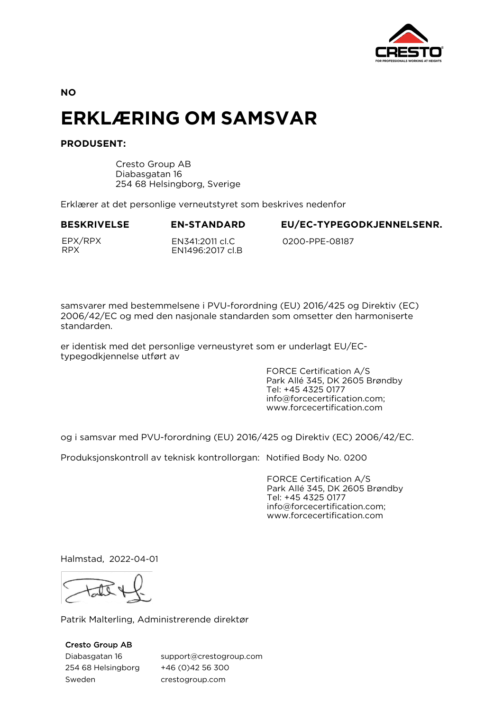

**NO**

# **ERKLÆRING OM SAMSVAR**

# **PRODUSENT:**

Cresto Group AB Diabasgatan 16 254 68 Helsingborg, Sverige

Erklærer at det personlige verneutstyret som beskrives nedenfor

EN1496:2017 cl.B

### **BESKRIVELSE EN-STANDARD EU/EC-TYPEGODKJENNELSENR.**

EPX/RPX RPX

EN341:2011 cl.C

0200-PPE-08187

samsvarer med bestemmelsene i PVU-forordning (EU) 2016/425 og Direktiv (EC) 2006/42/EC og med den nasjonale standarden som omsetter den harmoniserte standarden.

er identisk med det personlige verneustyret som er underlagt EU/ECtypegodkjennelse utført av

> FORCE Certification A/S Park Allé 345, DK 2605 Brøndby Tel: +45 4325 0177 info@forcecertification.com; www.forcecertification.com

og i samsvar med PVU-forordning (EU) 2016/425 og Direktiv (EC) 2006/42/EC.

Produksjonskontroll av teknisk kontrollorgan: Notified Body No. 0200

FORCE Certification A/S Park Allé 345, DK 2605 Brøndby Tel: +45 4325 0177 info@forcecertification.com; www.forcecertification.com

Halmstad, 2022-04-01

Patrik Malterling, Administrerende direktør

Cresto Group AB

Diabasgatan 16 254 68 Helsingborg Sweden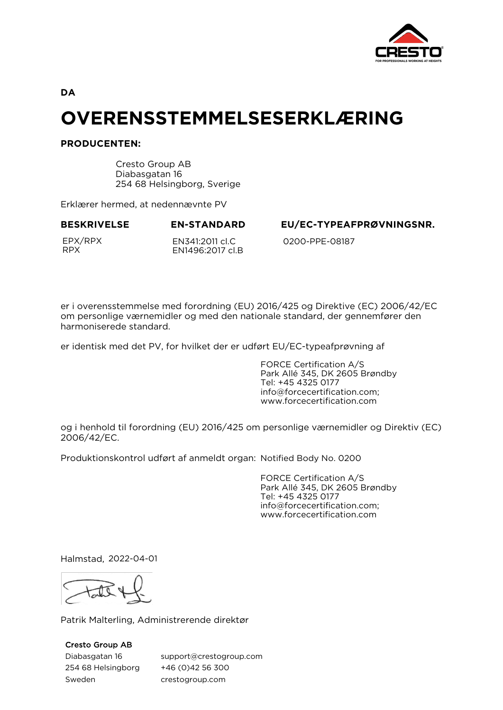

**DA**

# **OVERENSSTEMMELSESERKLÆRING**

## **PRODUCENTEN:**

Cresto Group AB Diabasgatan 16 254 68 Helsingborg, Sverige

Erklærer hermed, at nedennævnte PV

EPX/RPX RPX

EN341:2011 cl.C EN1496:2017 cl.B

**BESKRIVELSE EN-STANDARD EU/EC-TYPEAFPRØVNINGSNR.**

0200-PPE-08187

er i overensstemmelse med forordning (EU) 2016/425 og Direktive (EC) 2006/42/EC om personlige værnemidler og med den nationale standard, der gennemfører den harmoniserede standard.

er identisk med det PV, for hvilket der er udført EU/EC-typeafprøvning af

FORCE Certification A/S Park Allé 345, DK 2605 Brøndby Tel: +45 4325 0177 info@forcecertification.com; www.forcecertification.com

og i henhold til forordning (EU) 2016/425 om personlige værnemidler og Direktiv (EC) 2006/42/EC.

Produktionskontrol udført af anmeldt organ: Notified Body No. 0200

FORCE Certification A/S Park Allé 345, DK 2605 Brøndby Tel: +45 4325 0177 info@forcecertification.com; www.forcecertification.com

Halmstad, 2022-04-01

Patrik Malterling, Administrerende direktør

# Cresto Group AB

Diabasgatan 16 254 68 Helsingborg Sweden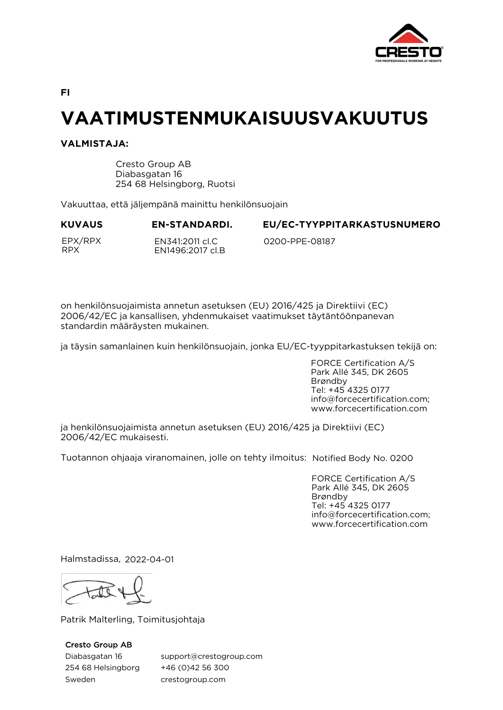

**FI**

# **VAATIMUSTENMUKAISUUSVAKUUTUS**

## **VALMISTAJA:**

Cresto Group AB Diabasgatan 16 254 68 Helsingborg, Ruotsi

Vakuuttaa, että jäljempänä mainittu henkilönsuojain

**KUVAUS EN-STANDARDI. EU/EC-TYYPPITARKASTUSNUMERO**

EPX/RPX RPX

EN341:2011 cl.C EN1496:2017 cl.B

0200-PPE-08187

on henkilönsuojaimista annetun asetuksen (EU) 2016/425 ja Direktiivi (EC) 2006/42/EC ja kansallisen, yhdenmukaiset vaatimukset täytäntöönpanevan standardin määräysten mukainen.

ja täysin samanlainen kuin henkilönsuojain, jonka EU/EC-tyyppitarkastuksen tekijä on:

FORCE Certification A/S Park Allé 345, DK 2605 Brøndby Tel: +45 4325 0177 info@forcecertification.com; www.forcecertification.com

ja henkilönsuojaimista annetun asetuksen (EU) 2016/425 ja Direktiivi (EC) 2006/42/EC mukaisesti.

Tuotannon ohjaaja viranomainen, jolle on tehty ilmoitus: Notified Body No. 0200

FORCE Certification A/S Park Allé 345, DK 2605 Brøndby Tel: +45 4325 0177 info@forcecertification.com; www.forcecertification.com

Halmstadissa, 2022-04-01

Patrik Malterling, Toimitusjohtaja

## Cresto Group AB

Diabasgatan 16 254 68 Helsingborg Sweden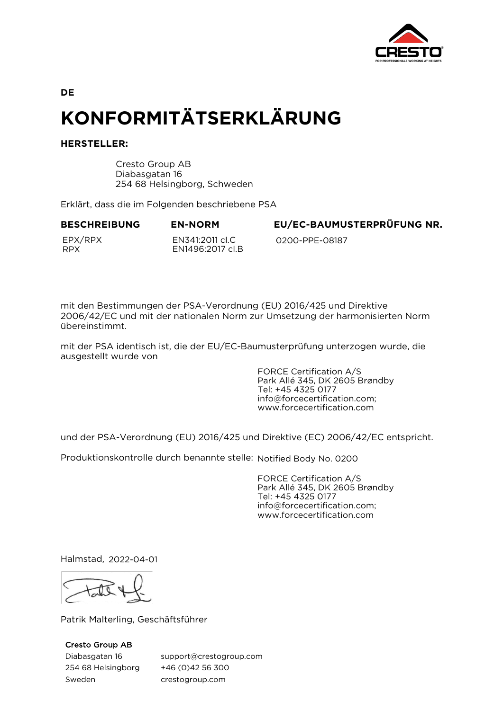

**DE**

# **KONFORMITÄTSERKLÄRUNG**

## **HERSTELLER:**

Cresto Group AB Diabasgatan 16 254 68 Helsingborg, Schweden

Erklärt, dass die im Folgenden beschriebene PSA

EPX/RPX RPX

EN341:2011 cl.C EN1496:2017 cl.B

**BESCHREIBUNG EN-NORM EU/EC-BAUMUSTERPRÜFUNG NR.**

0200-PPE-08187

mit den Bestimmungen der PSA-Verordnung (EU) 2016/425 und Direktive 2006/42/EC und mit der nationalen Norm zur Umsetzung der harmonisierten Norm übereinstimmt.

mit der PSA identisch ist, die der EU/EC-Baumusterprüfung unterzogen wurde, die ausgestellt wurde von

> FORCE Certification A/S Park Allé 345, DK 2605 Brøndby Tel: +45 4325 0177 info@forcecertification.com; www.forcecertification.com

und der PSA-Verordnung (EU) 2016/425 und Direktive (EC) 2006/42/EC entspricht.

Produktionskontrolle durch benannte stelle: Notified Body No. 0200

FORCE Certification A/S Park Allé 345, DK 2605 Brøndby Tel: +45 4325 0177 info@forcecertification.com; www.forcecertification.com

Halmstad, 2022-04-01

Patrik Malterling, Geschäftsführer

## Cresto Group AB

Diabasgatan 16 254 68 Helsingborg Sweden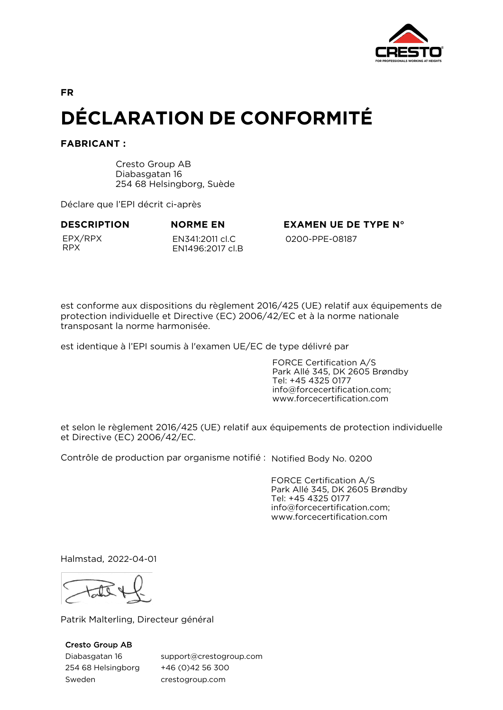

**DÉCLARATION DE CONFORMITÉ**

**FABRICANT :**

Cresto Group AB Diabasgatan 16 254 68 Helsingborg, Suède

Déclare que l'EPI décrit ci-après

EPX/RPX RPX

EN341:2011 cl.C EN1496:2017 cl.B

**DESCRIPTION NORME EN EXAMEN UE DE TYPE N°** 0200-PPE-08187

est conforme aux dispositions du règlement 2016/425 (UE) relatif aux équipements de protection individuelle et Directive (EC) 2006/42/EC et à la norme nationale transposant la norme harmonisée.

est identique à l'EPI soumis à l'examen UE/EC de type délivré par

FORCE Certification A/S Park Allé 345, DK 2605 Brøndby Tel: +45 4325 0177 info@forcecertification.com; www.forcecertification.com

et selon le règlement 2016/425 (UE) relatif aux équipements de protection individuelle et Directive (EC) 2006/42/EC.

Contrôle de production par organisme notifié : Notified Body No. 0200

FORCE Certification A/S Park Allé 345, DK 2605 Brøndby Tel: +45 4325 0177 info@forcecertification.com; www.forcecertification.com

Halmstad, 2022-04-01

Patrik Malterling, Directeur général

### Cresto Group AB

Diabasgatan 16 254 68 Helsingborg Sweden

support@crestogroup.com +46 (0)42 56 300 crestogroup.com

**FR**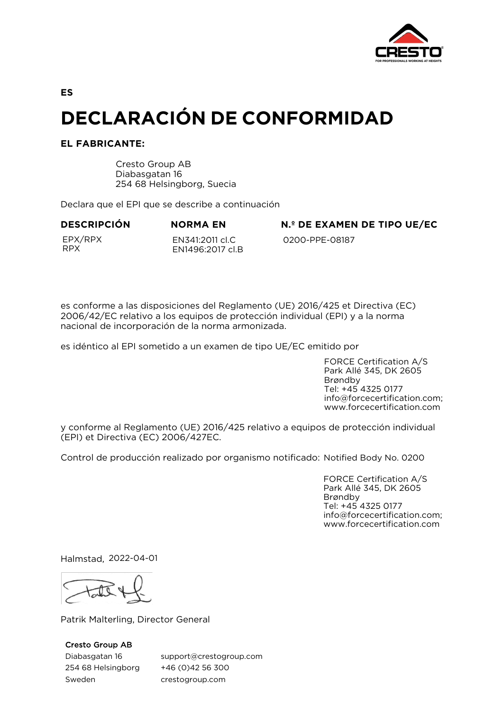

**ES**

# **DECLARACIÓN DE CONFORMIDAD**

# **EL FABRICANTE:**

Cresto Group AB Diabasgatan 16 254 68 Helsingborg, Suecia

Declara que el EPI que se describe a continuación

EPX/RPX RPX

EN341:2011 cl.C EN1496:2017 cl.B

**DESCRIPCIÓN NORMA EN N.º DE EXAMEN DE TIPO UE/EC**

0200-PPE-08187

es conforme a las disposiciones del Reglamento (UE) 2016/425 et Directiva (EC) 2006/42/EC relativo a los equipos de protección individual (EPI) y a la norma nacional de incorporación de la norma armonizada.

es idéntico al EPI sometido a un examen de tipo UE/EC emitido por

FORCE Certification A/S Park Allé 345, DK 2605 Brøndby Tel: +45 4325 0177 info@forcecertification.com; www.forcecertification.com

y conforme al Reglamento (UE) 2016/425 relativo a equipos de protección individual (EPI) et Directiva (EC) 2006/427EC.

Control de producción realizado por organismo notificado: Notified Body No. 0200

FORCE Certification A/S Park Allé 345, DK 2605 Brøndby Tel: +45 4325 0177 info@forcecertification.com; www.forcecertification.com

Halmstad, 2022-04-01

Patrik Malterling, Director General

### Cresto Group AB

Diabasgatan 16 254 68 Helsingborg Sweden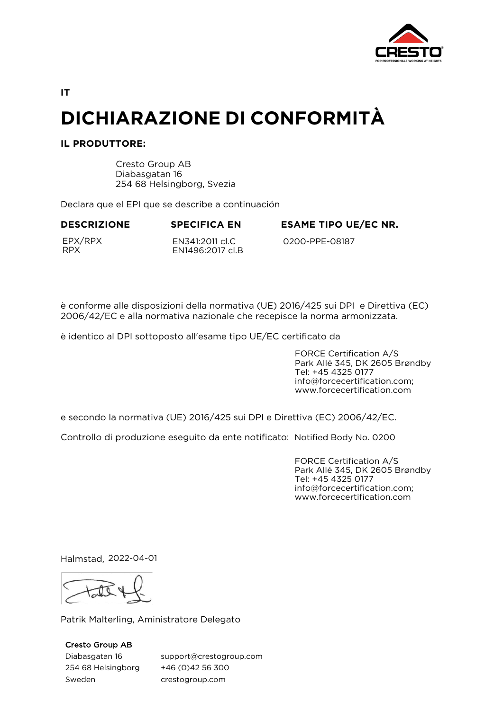

**IT**

# **DICHIARAZIONE DI CONFORMITÀ**

# **IL PRODUTTORE:**

Cresto Group AB Diabasgatan 16 254 68 Helsingborg, Svezia

Declara que el EPI que se describe a continuación

**DESCRIZIONE SPECIFICA EN ESAME TIPO UE/EC NR.**

EPX/RPX RPX

EN341:2011 cl.C EN1496:2017 cl.B

0200-PPE-08187

è conforme alle disposizioni della normativa (UE) 2016/425 sui DPI e Direttiva (EC) 2006/42/EC e alla normativa nazionale che recepisce la norma armonizzata.

è identico al DPI sottoposto all'esame tipo UE/EC certificato da

FORCE Certification A/S Park Allé 345, DK 2605 Brøndby Tel: +45 4325 0177 info@forcecertification.com; www.forcecertification.com

e secondo la normativa (UE) 2016/425 sui DPI e Direttiva (EC) 2006/42/EC.

Controllo di produzione eseguito da ente notificato: Notified Body No. 0200

FORCE Certification A/S Park Allé 345, DK 2605 Brøndby Tel: +45 4325 0177 info@forcecertification.com; www.forcecertification.com

Halmstad, 2022-04-01

Patrik Malterling, Aministratore Delegato

Cresto Group AB Diabasgatan 16 254 68 Helsingborg Sweden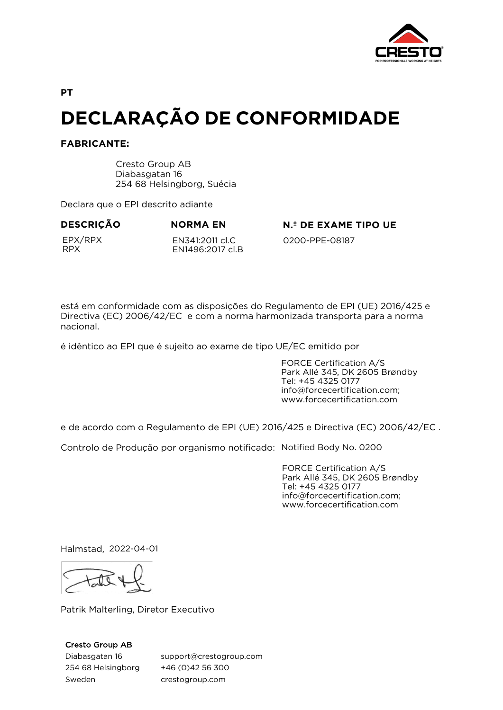

**PT**

# **DECLARAÇÃO DE CONFORMIDADE**

## **FABRICANTE:**

Cresto Group AB Diabasgatan 16 254 68 Helsingborg, Suécia

Declara que o EPI descrito adiante

EPX/RPX RPX

EN341:2011 cl.C EN1496:2017 cl.B

**DESCRIÇÃO NORMA EN N.º DE EXAME TIPO UE**

0200-PPE-08187

está em conformidade com as disposições do Regulamento de EPI (UE) 2016/425 e Directiva (EC) 2006/42/EC e com a norma harmonizada transporta para a norma nacional.

é idêntico ao EPI que é sujeito ao exame de tipo UE/EC emitido por

FORCE Certification A/S Park Allé 345, DK 2605 Brøndby Tel: +45 4325 0177 info@forcecertification.com; www.forcecertification.com

e de acordo com o Regulamento de EPI (UE) 2016/425 e Directiva (EC) 2006/42/EC .

Controlo de Produção por organismo notificado: Notified Body No. 0200

FORCE Certification A/S Park Allé 345, DK 2605 Brøndby Tel: +45 4325 0177 info@forcecertification.com; www.forcecertification.com

Halmstad, 2022-04-01

Patrik Malterling, Diretor Executivo

## Cresto Group AB

Diabasgatan 16 254 68 Helsingborg Sweden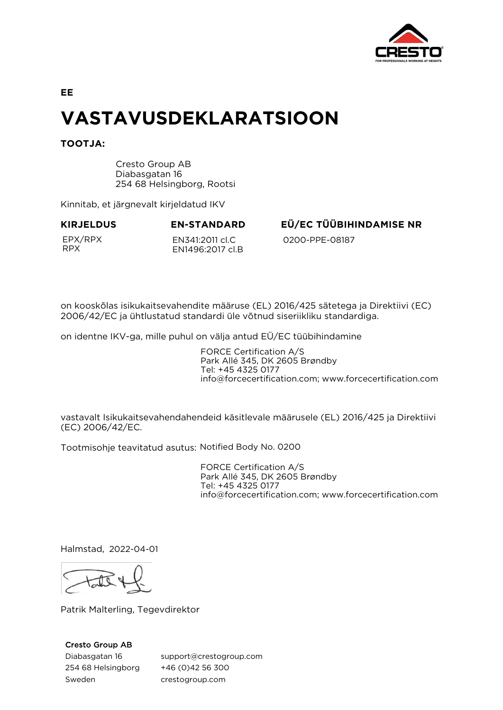

**EE**

# **VASTAVUSDEKLARATSIOON**

**TOOTJA:**

Cresto Group AB Diabasgatan 16 254 68 Helsingborg, Rootsi

Kinnitab, et järgnevalt kirjeldatud IKV

EPX/RPX RPX

EN341:2011 cl.C EN1496:2017 cl.B

**KIRJELDUS EN-STANDARD EÜ/EC TÜÜBIHINDAMISE NR**

0200-PPE-08187

on kooskõlas isikukaitsevahendite määruse (EL) 2016/425 sätetega ja Direktiivi (EC) 2006/42/EC ja ühtlustatud standardi üle võtnud siseriikliku standardiga.

on identne IKV-ga, mille puhul on välja antud EÜ/EC tüübihindamine

FORCE Certification A/S Park Allé 345, DK 2605 Brøndby Tel: +45 4325 0177 info@forcecertification.com; www.forcecertification.com

vastavalt Isikukaitsevahendahendeid käsitlevale määrusele (EL) 2016/425 ja Direktiivi (EC) 2006/42/EC.

Tootmisohje teavitatud asutus: Notified Body No. 0200

FORCE Certification A/S Park Allé 345, DK 2605 Brøndby Tel: +45 4325 0177 info@forcecertification.com; www.forcecertification.com

Halmstad, 2022-04-01

Patrik Malterling, Tegevdirektor

## Cresto Group AB

Diabasgatan 16 254 68 Helsingborg Sweden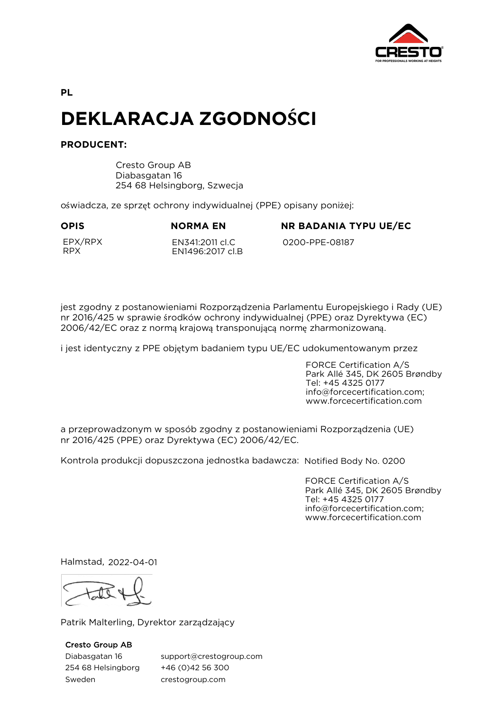

**PL**

# **DEKLARACJA ZGODNOŚCI**

# **PRODUCENT:**

Cresto Group AB Diabasgatan 16 254 68 Helsingborg, Szwecja

oświadcza, ze sprzęt ochrony indywidualnej (PPE) opisany poniżej:

**OPIS NORMA EN NR BADANIA TYPU UE/EC**

EPX/RPX RPX

EN341:2011 cl.C EN1496:2017 cl.B 0200-PPE-08187

jest zgodny z postanowieniami Rozporządzenia Parlamentu Europejskiego i Rady (UE) nr 2016/425 w sprawie środków ochrony indywidualnej (PPE) oraz Dyrektywa (EC) 2006/42/EC oraz z normą krajową transponującą normę zharmonizowaną.

i jest identyczny z PPE objętym badaniem typu UE/EC udokumentowanym przez

FORCE Certification A/S Park Allé 345, DK 2605 Brøndby Tel: +45 4325 0177 info@forcecertification.com; www.forcecertification.com

a przeprowadzonym w sposób zgodny z postanowieniami Rozporządzenia (UE) nr 2016/425 (PPE) oraz Dyrektywa (EC) 2006/42/EC.

Kontrola produkcji dopuszczona jednostka badawcza: Notified Body No. 0200

FORCE Certification A/S Park Allé 345, DK 2605 Brøndby Tel: +45 4325 0177 info@forcecertification.com; www.forcecertification.com

Halmstad, 2022-04-01

Patrik Malterling, Dyrektor zarządzający

Cresto Group AB

Diabasgatan 16 254 68 Helsingborg Sweden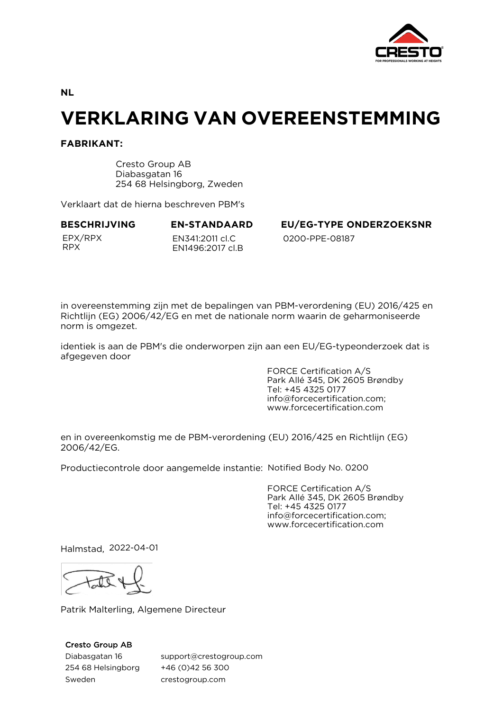

**NL**

# **VERKLARING VAN OVEREENSTEMMING**

## **FABRIKANT:**

Cresto Group AB Diabasgatan 16 254 68 Helsingborg, Zweden

Verklaart dat de hierna beschreven PBM's

EPX/RPX RPX

EN341:2011 cl.C EN1496:2017 cl.B

**BESCHRIJVING EN-STANDAARD EU/EG-TYPE ONDERZOEKSNR** 0200-PPE-08187

in overeenstemming zijn met de bepalingen van PBM-verordening (EU) 2016/425 en Richtlijn (EG) 2006/42/EG en met de nationale norm waarin de geharmoniseerde norm is omgezet.

identiek is aan de PBM's die onderworpen zijn aan een EU/EG-typeonderzoek dat is afgegeven door

> FORCE Certification A/S Park Allé 345, DK 2605 Brøndby Tel: +45 4325 0177 info@forcecertification.com; www.forcecertification.com

en in overeenkomstig me de PBM-verordening (EU) 2016/425 en Richtlijn (EG) 2006/42/EG.

Productiecontrole door aangemelde instantie: Notified Body No. 0200

FORCE Certification A/S Park Allé 345, DK 2605 Brøndby Tel: +45 4325 0177 info@forcecertification.com; www.forcecertification.com

Halmstad, 2022-04-01

Patrik Malterling, Algemene Directeur

### Cresto Group AB

Diabasgatan 16 254 68 Helsingborg Sweden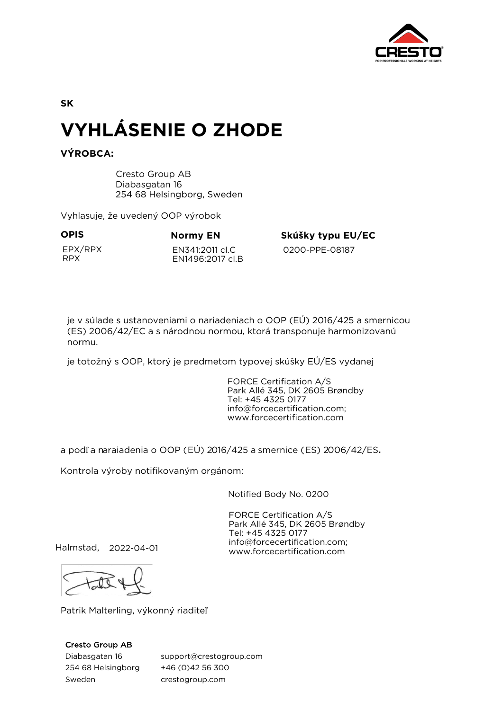

**SK**

# **VYHLÁSENIE O ZHODE**

# **VÝROBCA:**

Cresto Group AB Diabasgatan 16 254 68 Helsingborg, Sweden

Vyhlasuje, že uvedený OOP výrobok

EPX/RPX RPX

EN341:2011 cl.C EN1496:2017 cl.B

**OPIS Normy EN Skúšky typu EU/EC** 

0200-PPE-08187

je v súlade s ustanoveniami o nariadeniach o OOP (EÚ) 2016/425 a smernicou (ES) 2006/42/EC a s národnou normou, ktorá transponuje harmonizovanú normu.

je totožný s OOP, ktorý je predmetom typovej skúšky EÚ/ES vydanej

FORCE Certification A/S Park Allé 345, DK 2605 Brøndby Tel: +45 4325 0177 info@forcecertification.com; www.forcecertification.com

a podľ a naraiadenia o OOP (EÚ) 2016/425 a smernice (ES) 2006/42/ES**.** 

Kontrola výroby notifikovaným orgánom:

Notified Body No. 0200

FORCE Certification A/S Park Allé 345, DK 2605 Brøndby Tel: +45 4325 0177 info@forcecertification.com; www.forcecertification.com

Halmstad, 2022-04-01

Patrik Malterling, výkonný riaditeľ

## Cresto Group AB

Diabasgatan 16 254 68 Helsingborg Sweden